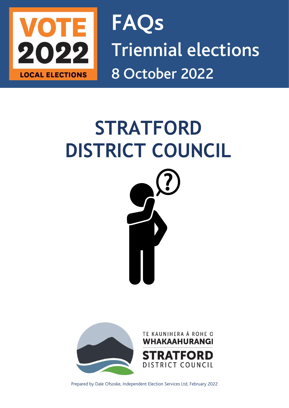

**FAQs** Triennial elections 8 October 2022

# **STRATFORD DISTRICT COUNCIL**





Prepared by Dale Ofsoske, Independent Election Services Ltd, February 2022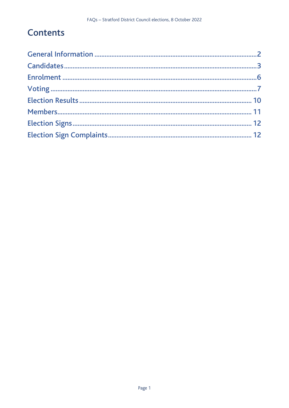# **Contents**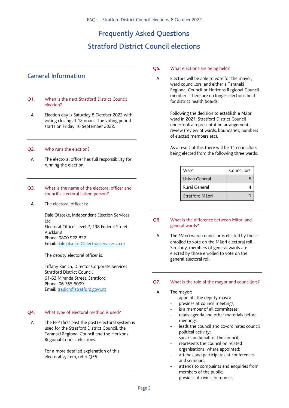## Frequently Asked Questions Stratford District Council elections

## <span id="page-2-0"></span>General Information

#### Q1. When is the next Stratford District Council election?

A Election day is Saturday 8 October 2022 with voting closing at 12 noon. The voting period starts on Friday 16 September 2022.

#### Q2. Who runs the election?

A The electoral officer has full responsibility for running the election.

#### Q3. What is the name of the electoral officer and council's electoral liaison person?

A The electoral officer is:

Dale Ofsoske, Independent Election Services Ltd Electoral Office: Level 2, 198 Federal Street, Auckland Phone: 0800 922 822 Email: [dale.ofsoske@electionservices.co.nz](mailto:dale.ofsoske@electionservices.co.nz)

The deputy electoral officer is:

Tiffany Radich, Director Corporate Services Stratford District Council 61-63 Miranda Street, Stratford Phone: 06 765 6099 Email: [tradich@stratford.govt.nz](mailto:tradich@stratford.govt.nz)

#### Q4. What type of electoral method is used?

A The FPP (first past the post) electoral system is used for the Stratford District Council, the Taranaki Regional Council and the Horizons Regional Council elections.

> For a more detailed explanation of this electoral system, refer Q56.

#### Q5. What elections are being held?

A Electors will be able to vote for the mayor, ward councillors, and either a Taranaki Regional Council or Horizons Regional Council member. There are no longer elections held for district health boards.

> Following the decision to establish a Māori ward in 2021, Stratford District Council undertook a representation arrangements review (review of wards, boundaries, numbers of elected members etc).

> As a result of this there will be 11 councillors being elected from the following three wards:

| Ward            | Councillors |
|-----------------|-------------|
| Urban General   |             |
| Rural General   |             |
| Stratford Māori |             |

#### Q6. What is the difference between Māori and general wards?

A The Māori ward councillor is elected by those enrolled to vote on the Māori electoral roll. Similarly, members of general wards are elected by those enrolled to vote on the general electoral roll.

#### Q7. What is the role of the mayor and councillors?

- A The mayor:
	- appoints the deputy mayor
	- presides at council meetings;
	- is a member of all committees;
	- reads agenda and other materials before meetings;
	- leads the council and co-ordinates council political activity;
	- speaks on behalf of the council;
	- represents the council on related organisations, where appointed;
	- attends and participates at conferences and seminars;
	- attends to complaints and enquiries from members of the public;
	- presides at civic ceremonies;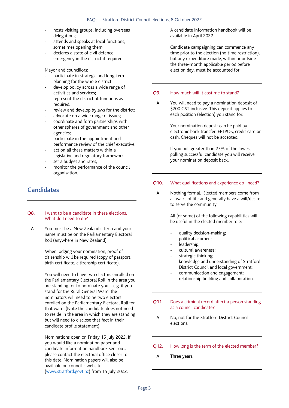- hosts visiting groups, including overseas delegations;
- attends and speaks at local functions. sometimes opening them;
- declares a state of civil defence emergency in the district if required.

Mayor and councillors:

- participate in strategic and long-term planning for the whole district;
- develop policy across a wide range of activities and services;
- represent the district at functions as required;
- review and develop bylaws for the district;
- advocate on a wide range of issues;
- coordinate and form partnerships with other spheres of government and other agencies;
- participate in the appointment and performance review of the chief executive;
- act on all these matters within a legislative and regulatory framework
- set a budget and rates;
- monitor the performance of the council organisation.

## <span id="page-3-0"></span>**Candidates**

#### Q8. I want to be a candidate in these elections. What do I need to do?

A You must be a New Zealand citizen and your name must be on the Parliamentary Electoral Roll (anywhere in New Zealand).

> When lodging your nomination, proof of citizenship will be required (copy of passport, birth certificate, citizenship certificate).

You will need to have two electors enrolled on the Parliamentary Electoral Roll in the area you are standing for to nominate you – e.g. if you stand for the Rural General Ward, the nominators will need to be two electors enrolled on the Parliamentary Electoral Roll for that ward. (Note the candidate does not need to reside in the area in which they are standing but will need to disclose that fact in their candidate profile statement).

Nominations open on Friday 15 July 2022. If you would like a nomination paper and candidate information handbook sent out, please contact the electoral office closer to this date. Nomination papers will also be available on council's website [\(www.stratford.govt.nz\)](http://www.newplymouthnz.com/) from 15 July 2022.

A candidate information handbook will be available in April 2022.

Candidate campaigning can commence any time prior to the election (no time restriction), but any expenditure made, within or outside the three-month applicable period before election day, must be accounted for.

#### Q9. How much will it cost me to stand?

A You will need to pay a nomination deposit of \$200 GST inclusive. This deposit applies to each position (election) you stand for.

> Your nomination deposit can be paid by electronic bank transfer, EFTPOS, credit card or cash. Cheques will not be accepted.

If you poll greater than 25% of the lowest polling successful candidate you will receive your nomination deposit back.

#### Q10. What qualifications and experience do I need?

A Nothing formal. Elected members come from all walks of life and generally have a will/desire to serve the community.

> All (or some) of the following capabilities will be useful in the elected member role:

- quality decision-making;
- political acumen;
- leadership:
- cultural awareness;
- strategic thinking;
- knowledge and understanding of Stratford District Council and local government;
- communication and engagement;
- relationship building and collaboration.

#### Q11. Does a criminal record affect a person standing as a council candidate?

A No, not for the Stratford District Council elections.

#### Q12. How long is the term of the elected member?

A Three years.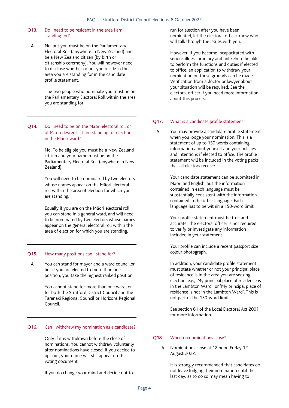#### Q13. Do I need to be resident in the area I am standing for?

A No, but you must be on the Parliamentary Electoral Roll (anywhere in New Zealand) and be a New Zealand citizen (by birth or citizenship ceremony). You will however need to disclose whether or not you reside in the area you are standing for in the candidate profile statement.

> The two people who nominate you must be on the Parliamentary Electoral Roll within the area you are standing for.

#### Q14. Do I need to be on the Māori electoral roll or of Māori descent if I am standing for election in the Māori ward?

No. To be eligible you must be a New Zealand citizen and your name must be on the Parliamentary Electoral Roll (anywhere in New Zealand).

You will need to be nominated by two electors whose names appear on the Māori electoral roll within the area of election for which you are standing.

Equally if you are on the Māori electoral roll you can stand in a general ward, and will need to be nominated by two electors whose names appear on the general electoral roll within the area of election for which you are standing.

#### Q15. How many positions can I stand for?

A You can stand for mayor and a ward councillor, but if you are elected to more than one position, you take the highest ranked position.

> You cannot stand for more than one ward, or for both the Stratford District Council and the Taranaki Regional Council or Horizons Regional Council.

#### Q16. Can I withdraw my nomination as a candidate?

Only if it is withdrawn before the close of nominations. You cannot withdraw voluntarily after nominations have closed. If you decide to opt out, your name will still appear on the voting document.

If you do change your mind and decide not to

run for election after you have been nominated, let the electoral officer know who will talk through the issues with you.

However, if you become incapacitated with serious illness or injury and unlikely to be able to perform the functions and duties if elected to office, an application to withdraw your nomination on those grounds can be made. Verification from a doctor or lawyer about your situation will be required. See the electoral officer if you need more information about this process.

#### Q17. What is a candidate profile statement?

A You may provide a candidate profile statement when you lodge your nomination. This is a statement of up to 150 words containing information about yourself and your policies and intentions if elected to office. The profile statement will be included in the voting packs that all electors receive.

> Your candidate statement can be submitted in Māori and English, but the information contained in each language must be substantially consistent with the information contained in the other language. Each language has to be within a 150-word limit.

Your profile statement must be true and accurate. The electoral officer is not required to verify or investigate any information included in your statement.

Your profile can include a recent passport size colour photograph.

In addition, your candidate profile statement must state whether or not your principal place of residence is in the area you are seeking election, e.g., 'My principal place of residence is in the Lambton Ward', or 'My principal place of residence is not in the Lambton Ward'. This is not part of the 150-word limit.

See section 61 of the Local Electoral Act 2001 for more information.

#### Q18. When do nominations close?

A Nominations close at 12 noon Friday 12 August 2022.

> It is strongly recommended that candidates do not leave lodging their nomination until the last day, as to do so may mean having to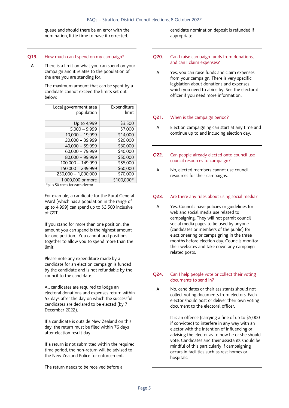queue and should there be an error with the nomination, little time to have it corrected.

#### Q19. How much can I spend on my campaign?

A There is a limit on what you can spend on your campaign and it relates to the population of the area you are standing for.

> The maximum amount that can be spent by a candidate cannot exceed the limits set out below:

| Local government area<br>population | Expenditure<br>limit |
|-------------------------------------|----------------------|
| Up to 4,999                         | \$3,500              |
| $5,000 - 9,999$                     | \$7,000              |
| $10,000 - 19,999$                   | \$14,000             |
| 20,000 - 39,999                     | \$20,000             |
| $40,000 - 59,999$                   | \$30,000             |
| $60,000 - 79,999$                   | \$40,000             |
| 80,000 - 99,999                     | \$50,000             |
| 100,000 - 149,999                   | \$55,000             |
| 150,000 - 249,999                   | \$60,000             |
| 250,000 - 1,000,000                 | \$70,000             |
| 1.000.000 or more                   | \$100,000*           |

\*plus 50 cents for each elector

For example, a candidate for the Rural General Ward (which has a population in the range of up to 4,999) can spend up to \$3,500 inclusive of GST.

If you stand for more than one position, the amount you can spend is the highest amount for one position. You cannot add positions together to allow you to spend more than the limit.

Please note any expenditure made by a candidate for an election campaign is funded by the candidate and is not refundable by the council to the candidate.

All candidates are required to lodge an electoral donations and expenses return within 55 days after the day on which the successful candidates are declared to be elected (by 7 December 2022).

If a candidate is outside New Zealand on this day, the return must be filed within 76 days after election result day.

If a return is not submitted within the required time period, the non-return will be advised to the New Zealand Police for enforcement.

The return needs to be received before a

candidate nomination deposit is refunded if appropriate.

- Q20. Can I raise campaign funds from donations, and can I claim expenses?
	- A Yes, you can raise funds and claim expenses from your campaign. There is very specific legislation about donations and expenses which you need to abide by. See the electoral officer if you need more information.

#### Q21. When is the campaign period?

A Election campaigning can start at any time and continue up to and including election day.

#### Q22. Can people already elected onto council use council resources to campaign?

A No, elected members cannot use council resources for their campaigns.

#### Q23. Are there any rules about using social media?

A Yes. Councils have policies or guidelines for web and social media use related to campaigning. They will not permit council social media pages to be used by anyone (candidates or members of the public) for electioneering or campaigning in the three months before election day. Councils monitor their websites and take down any campaign related posts.

#### Q24. Can I help people vote or collect their voting documents to send in?

A No, candidates or their assistants should not collect voting documents from electors. Each elector should post or deliver their own voting document to the electoral officer.

> <span id="page-5-0"></span>It is an offence (carrying a fine of up to \$5,000 if convicted) to interfere in any way with an elector with the intention of influencing or advising the elector as to how he or she should vote. Candidates and their assistants should be mindful of this particularly if campaigning occurs in facilities such as rest homes or hospitals.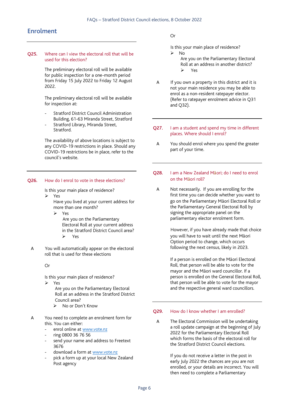## Enrolment

Q25. Where can I view the electoral roll that will be used for this election?

> The preliminary electoral roll will be available for public inspection for a one-month period from Friday 15 July 2022 to Friday 12 August 2022.

> The preliminary electoral roll will be available for inspection at:

- Stratford District Council Administration Building, 61-63 Miranda Street, Stratford
- Stratford Library, Miranda Street, Stratford.

The availability of above locations is subject to any COVID-19 restrictions in place. Should any COVID-19 restrictions be in place, refer to the council's website.

#### Q26. How do I enrol to vote in these elections?

Is this your main place of residence?

➢ Yes

Have you lived at your current address for more than one month?

➢ Yes

Are you on the Parliamentary Electoral Roll at your current address in the Stratford District Council area? ➢ Yes

A You will automatically appear on the electoral roll that is used for these elections

Or

Is this your main place of residence?

➢ Yes

Are you on the Parliamentary Electoral Roll at an address in the Stratford District Council area?

- ➢ No or Don't Know
- A You need to complete an enrolment form for this. You can either:
	- enrol online at [www.vote.nz](http://www.vote.nz/)
	- ring 0800 36 76 56
	- send your name and address to Freetext 3676
	- download a form at [www.vote.nz](http://www.vote.nz/)
	- pick a form up at your local New Zealand Post agency

Or

- Is this your main place of residence? ➢ No
	- Are you on the Parliamentary Electoral Roll at an address in another district?

 $V_{\text{ac}}$ 

- A If you own a property in this district and it is not your main residence you may be able to enrol as a non-resident ratepayer elector. (Refer to ratepayer enrolment advice in Q31 and Q32).
- Q27. I am a student and spend my time in different places. Where should I enrol?
	- A You should enrol where you spend the greater part of your time.
- Q28. I am a New Zealand Māori; do I need to enrol on the Māori roll?
- A Not necessarily. If you are enrolling for the first time you can decide whether you want to go on the Parliamentary Māori Electoral Roll or the Parliamentary General Electoral Roll by signing the appropriate panel on the parliamentary elector enrolment form.

However, if you have already made that choice you will have to wait until the next Māori Option period to change, which occurs following the next census, likely in 2023.

If a person is enrolled on the Māori Electoral Roll, that person will be able to vote for the mayor and the Māori ward councillor. If a person is enrolled on the General Electoral Roll, that person will be able to vote for the mayor and the respective general ward councillors.

#### Q29. How do I know whether I am enrolled?

A The Electoral Commission will be undertaking a roll update campaign at the beginning of July 2022 for the Parliamentary Electoral Roll which forms the basis of the electoral roll for the Stratford District Council elections.

> If you do not receive a letter in the post in early July 2022 the chances are you are not enrolled, or your details are incorrect. You will then need to complete a Parliamentary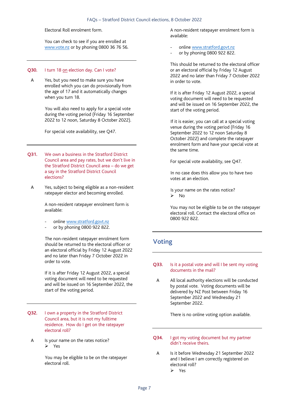#### FAQs – Stratford District Council elections, 8 October 2022

Electoral Roll enrolment form.

You can check to see if you are enrolled at [www.vote.nz](http://www.vote.nz/) or by phoning 0800 36 76 56.

#### Q30. I turn 18 on election day. Can I vote?

A Yes, but you need to make sure you have enrolled which you can do provisionally from the age of 17 and it automatically changes when you turn 18.

> You will also need to apply for a special vote during the voting period (Friday 16 September 2022 to 12 noon, Saturday 8 October 2022).

For special vote availability, see Q47.

- Q31. We own a business in the Stratford District Council area and pay rates, but we don't live in the Stratford District Council area – do we get a say in the Stratford District Council elections?
	- A Yes, subject to being eligible as a non-resident ratepayer elector and becoming enrolled.

A non-resident ratepayer enrolment form is available:

- online www.stratford.govt.nz
- or by phoning 0800 922 822.

The non-resident ratepayer enrolment form should be returned to the electoral officer or an electoral official by Friday 12 August 2022 and no later than Friday 7 October 2022 in order to vote.

If it is after Friday 12 August 2022, a special voting document will need to be requested and will be issued on 16 September 2022, the start of the voting period.

- Q32. I own a property in the Stratford District Council area, but it is not my fulltime residence. How do I get on the ratepayer electoral roll?
	- A Is your name on the rates notice? ➢ Yes

You may be eligible to be on the ratepayer electoral roll.

A non-resident ratepayer enrolment form is available:

- online www.stratford.govt.nz
- or by phoning 0800 922 822.

This should be returned to the electoral officer or an electoral official by Friday 12 August 2022 and no later than Friday 7 October 2022 in order to vote.

If it is after Friday 12 August 2022, a special voting document will need to be requested and will be issued on 16 September 2022, the start of the voting period.

If it is easier, you can call at a special voting venue during the voting period (Friday 16 September 2022 to 12 noon Saturday 8 October 2022) and complete the ratepayer enrolment form and have your special vote at the same time.

For special vote availability, see Q47.

In no case does this allow you to have two votes at an election.

Is your name on the rates notice? ➢ No

You may not be eligible to be on the ratepayer electoral roll. Contact the electoral office on 0800 922 822.

## <span id="page-7-0"></span>Voting

#### Q33. Is it a postal vote and will I be sent my voting documents in the mail?

A All local authority elections will be conducted by postal vote. Voting documents will be delivered by NZ Post between Friday 16 September 2022 and Wednesday 21 September 2022.

There is no online voting option available.

- Q34. I got my voting document but my partner didn't receive theirs.
	- A Is it before Wednesday 21 September 2022 and I believe I am correctly registered on electoral roll? ➢ Yes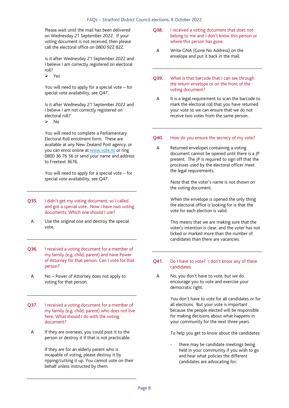Please wait until the mail has been delivered on Wednesday 21 September 2022. If your voting document is not received, then please call the electoral office on 0800 922 822.

Is it after Wednesday 21 September 2022 and I believe I am correctly registered on electoral roll?

➢ Yes

You will need to apply for a special vote – for special vote availability, see Q47.

Is it after Wednesday 21 September 2022 and I believe I am not correctly registered on electoral roll?

➢ No

You will need to complete a Parliamentary Electoral Roll enrolment form. These are available at any New Zealand Post agency, or you can enrol online at [www.vote.nz](http://www.vote.nz/) or ring 0800 36 76 56 or send your name and address to Freetext 3676.

You will need to apply for a special vote – for special vote availability, see Q47.

- Q35. I didn't get my voting document, so I called and got a special vote. Now I have two voting documents. Which one should I use?
	- A Use the original one and destroy the special vote.
- Q36. I received a voting document for a member of my family (e.g. child, parent) and have Power of Attorney for that person. Can I vote for that person?
	- A No Power of Attorney does not apply to voting for that person.
- Q37. I received a voting document for a member of my family (e.g. child, parent) who does not live here. What should I do with the voting document?
	- A If they are overseas, you could post it to the person or destroy it if that is not practicable.

If they are for an elderly parent who is incapable of voting, please destroy it by ripping/cutting it up. You cannot vote on their behalf unless instructed by them.

- Q38. I received a voting document that does not belong to me and I don't know this person or where this person has gone.
	- A Write GNA (Gone No Address) on the envelope and put it back in the mail.
- Q39. What is that barcode that I can see through the return envelope or on the front of the voting document?
- A It is a legal requirement to scan the barcode to mark the electoral roll that you have returned your vote so we can ensure that we do not receive two votes from the same person.

#### Q40. How do you ensure the secrecy of my vote?

A Returned envelopes containing a voting document cannot be opened until there is a JP present. The JP is required to sign off that the processes used by the electoral officer meet the legal requirements.

> Note that the voter's name is not shown on the voting document.

When the envelope is opened the only thing the electoral office is looking for is that the vote for each election is valid.

This means that we are making sure that the voter's intention is clear, and the voter has not ticked or marked more than the number of candidates than there are vacancies.

#### Q41. Do I have to vote? I don't know any of these candidates.

A No, you don't have to vote, but we do encourage you to vote and exercise your democratic right.

> You don't have to vote for all candidates or for all elections. But your vote is important because the people elected will be responsible for making decisions about what happens in your community for the next three years.

To help you get to know about the candidates:

there may be candidate meetings being held in your community if you wish to go and hear what policies the different candidates are advocating for;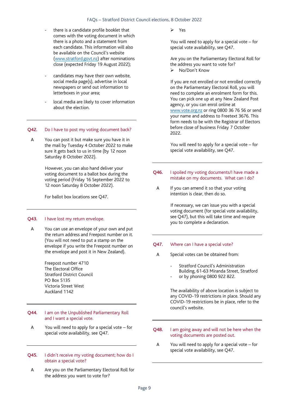#### FAQs – Stratford District Council elections, 8 October 2022

- there is a candidate profile booklet that comes with the voting document in which there is a photo and a statement from each candidate. This information will also be available on the Council's website (www.stratford.govt.nz) after nominations close (expected Friday 19 August 2022);
- candidates may have their own website, social media page(s), advertise in local newspapers or send out information to letterboxes in your area;
- local media are likely to cover information about the election.

#### Q42. Do I have to post my voting document back?

A You can post it but make sure you have it in the mail by Tuesday 4 October 2022 to make sure it gets back to us in time (by 12 noon Saturday 8 October 2022).

> However, you can also hand deliver your voting document to a ballot box during the voting period (Friday 16 September 2022 to 12 noon Saturday 8 October 2022).

For ballot box locations see Q47.

#### Q43. I have lost my return envelope.

A You can use an envelope of your own and put the return address and Freepost number on it. (You will not need to put a stamp on the envelope if you write the Freepost number on the envelope and post it in New Zealand).

> Freepost number 4710 The Electoral Office Stratford District Council PO Box 5135 Victoria Street West Auckland 1142

#### Q44. I am on the Unpublished Parliamentary Roll and I want a special vote.

- A You will need to apply for a special vote for special vote availability, see Q47.
- Q45. I didn't receive my voting document; how do I obtain a special vote?
	- A Are you on the Parliamentary Electoral Roll for the address you want to vote for?

➢ Yes

You will need to apply for a special vote – for special vote availability, see Q47.

Are you on the Parliamentary Electoral Roll for the address you want to vote for? ➢ No/Don't Know

If you are not enrolled or not enrolled correctly on the Parliamentary Electoral Roll, you will need to complete an enrolment form for this. You can pick one up at any New Zealand Post agency, or you can enrol online at [www.vote.org.nz](http://www.vote.org.nz/) or ring 0800 36 76 56 or send your name and address to Freetext 3676. This form needs to be with the Registrar of Electors before close of business Friday 7 October 2022.

You will need to apply for a special vote – for special vote availability, see Q47.

- Q46. I spoiled my voting documents/I have made a mistake on my documents. What can I do?
- A If you can amend it so that your voting intention is clear, then do so.

If necessary, we can issue you with a special voting document (for special vote availability, see Q47), but this will take time and require you to complete a declaration.

#### Q47. Where can I have a special vote?

- A Special votes can be obtained from:
	- Stratford Council's Administration Building, 61-63 Miranda Street, Stratford
	- or by phoning 0800 922 822.

The availability of above location is subject to any COVID-19 restrictions in place. Should any COVID-19 restrictions be in place, refer to the council's website.

- Q48. I am going away and will not be here when the voting documents are posted out.
- A You will need to apply for a special vote for special vote availability, see Q47.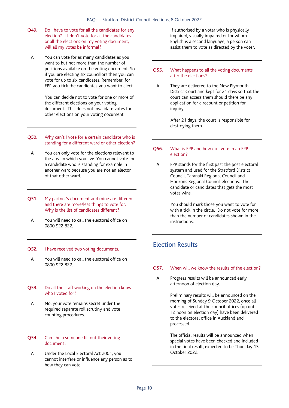- Q49. Do I have to vote for all the candidates for any election? If I don't vote for all the candidates or all the elections on my voting document, will all my votes be informal?
	- A You can vote for as many candidates as you want to but not more than the number of positions available on the voting document. So if you are electing six councillors then you can vote for up to six candidates. Remember, for FPP you tick the candidates you want to elect.

You can decide not to vote for one or more of the different elections on your voting document. This does not invalidate votes for other elections on your voting document.

- Q50. Why can't I vote for a certain candidate who is standing for a different ward or other election?
	- A You can only vote for the elections relevant to the area in which you live. You cannot vote for a candidate who is standing for example in another ward because you are not an elector of that other ward.
- Q51. My partner's document and mine are different and there are more/less things to vote for. Why is the list of candidates different?
- A You will need to call the electoral office on 0800 922 822.

#### Q52. I have received two voting documents.

- A You will need to call the electoral office on 0800 922 822.
- Q53. Do all the staff working on the election know who I voted for?
	- A No, your vote remains secret under the required separate roll scrutiny and vote counting procedures.

#### Q54. Can I help someone fill out their voting document?

A Under the Local Electoral Act 2001, you cannot interfere or influence any person as to how they can vote.

If authorised by a voter who is physically impaired, visually impaired or for whom English is a second language, a person can assist them to vote as directed by the voter.

#### Q55. What happens to all the voting documents after the elections?

A They are delivered to the New Plymouth District Court and kept for 21 days so that the court can access them should there be any application for a recount or petition for inquiry.

> After 21 days, the court is responsible for destroying them.

#### Q56. What is FPP and how do I vote in an FPP election?

A FPP stands for the first past the post electoral system and used for the Stratford District Council, Taranaki Regional Council and Horizons Regional Council elections. The candidate or candidates that gets the most votes wins.

> You should mark those you want to vote for with a tick in the circle. Do not vote for more than the number of candidates shown in the instructions.

## <span id="page-10-0"></span>Election Results

#### Q57. When will we know the results of the election?

A Progress results will be announced early afternoon of election day.

> Preliminary results will be announced on the morning of Sunday 9 October 2022, once all votes received at the council offices (up until 12 noon on election day) have been delivered to the electoral office in Auckland and processed.

> The official results will be announced when special votes have been checked and included in the final result, expected to be Thursday 13 October 2022.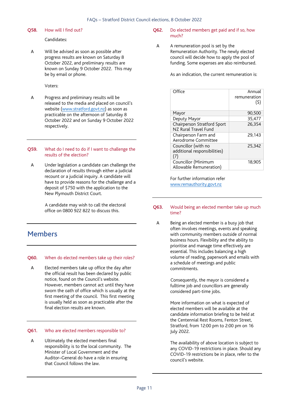#### O58. How will I find out?

#### Candidates:

A Will be advised as soon as possible after progress results are known on Saturday 8 October 2022, and preliminary results are known on Sunday 9 October 2022. This may be by email or phone.

Voters:

A Progress and preliminary results will be released to the media and placed on council's website (www.stratford.govt.nz) as soon as practicable on the afternoon of Saturday 8 October 2022 and on Sunday 9 October 2022 respectively.

#### Q59. What do I need to do if I want to challenge the results of the election?

A Under legislation a candidate can challenge the declaration of results through either a judicial recount or a judicial inquiry. A candidate will have to provide reasons for the challenge and a deposit of \$750 with the application to the New Plymouth District Court.

> A candidate may wish to call the electoral office on 0800 922 822 to discuss this.

## <span id="page-11-0"></span>Members

#### Q60. When do elected members take up their roles?

A Elected members take up office the day after the official result has been declared by public notice, found on the Council's website. However, members cannot act until they have sworn the oath of office which is usually at the first meeting of the council. This first meeting is usually held as soon as practicable after the final election results are known.

#### Q61. Who are elected members responsible to?

A Ultimately the elected members final responsibility is to the local community. The Minister of Local Government and the Auditor–General do have a role in ensuring that Council follows the law.

#### Q62. Do elected members get paid and if so, how much?

A A remuneration pool is set by the Remuneration Authority. The newly elected council will decide how to apply the pool of funding. Some expenses are also reimbursed.

As an indication, the current remuneration is:

| Office                                                     | Annual<br>remuneration<br>(\$) |
|------------------------------------------------------------|--------------------------------|
| Mayor                                                      | 90,500                         |
| Deputy Mayor                                               | 35,477                         |
| Chairperson Stratford Sport<br>NZ Rural Travel Fund        | 26.354                         |
| Chairperson Farm and<br>Aerodrome Committee                | 29,143                         |
| Councillor (with no<br>additional responsibilities)<br>(7) | 25,342                         |
| Councillor (Minimum<br>Allowable Remuneration)             | 18.905                         |

For further information refer [www.remauthority.govt.nz](http://www.remauthority.govt.nz/)

#### Q63. Would being an elected member take up much time?

A Being an elected member is a busy job that often involves meetings, events and speaking with community members outside of normal business hours. Flexibility and the ability to prioritise and manage time effectively are essential. This includes balancing a high volume of reading, paperwork and emails with a schedule of meetings and public commitments.

> Consequently, the mayor is considered a fulltime job and councillors are generally considered part-time jobs.

More information on what is expected of elected members will be available at the candidate information briefing to be held at the Centennial Rest Rooms, Fenton Street, Stratford, from 12:00 pm to 2:00 pm on 16 July 2022.

The availability of above location is subject to any COVID-19 restrictions in place. Should any COVID-19 restrictions be in place, refer to the council's website.